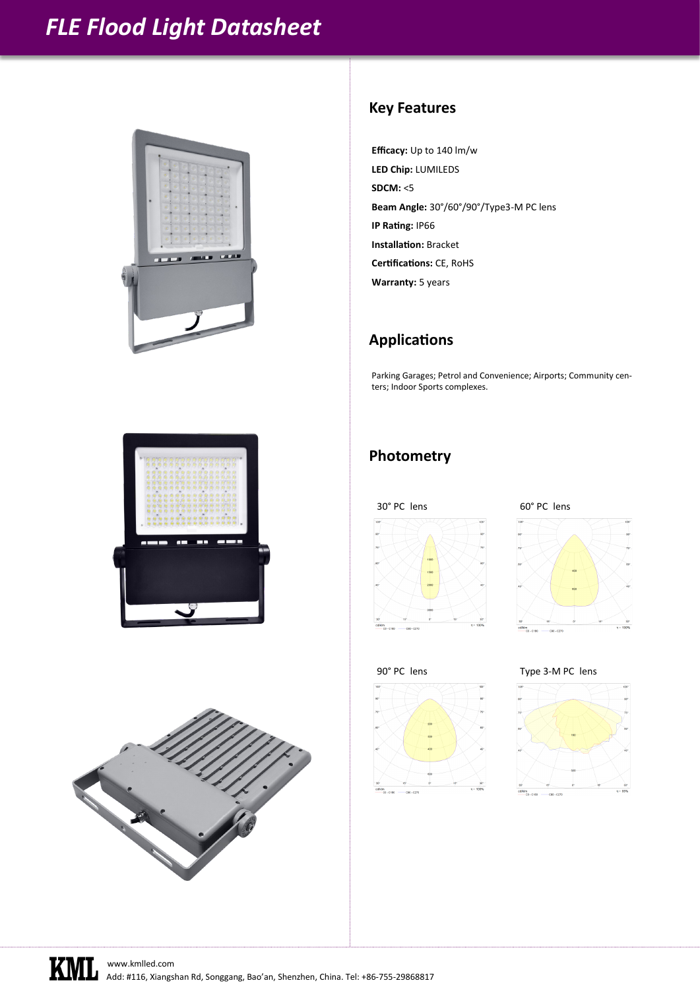# *FLE Flood Light Datasheet*



#### **Key Features**

**Efficacy:** Up to 140 lm/w **LED Chip:** LUMILEDS **SDCM:** <5 **Beam Angle:** 30°/60°/90°/Type3-M PC lens **IP Rating:** IP66 **Installation:** Bracket **Certifications:** CE, RoHS **Warranty:** 5 years

#### **Applications**

Parking Garages; Petrol and Convenience; Airports; Community centers; Indoor Sports complexes.

### **Photometry**



















Add: #116, Xiangshan Rd, Songgang, Bao'an, Shenzhen, China. Tel: +86-755-29868817 [www.kmlled.com](http://www.kmlled.com)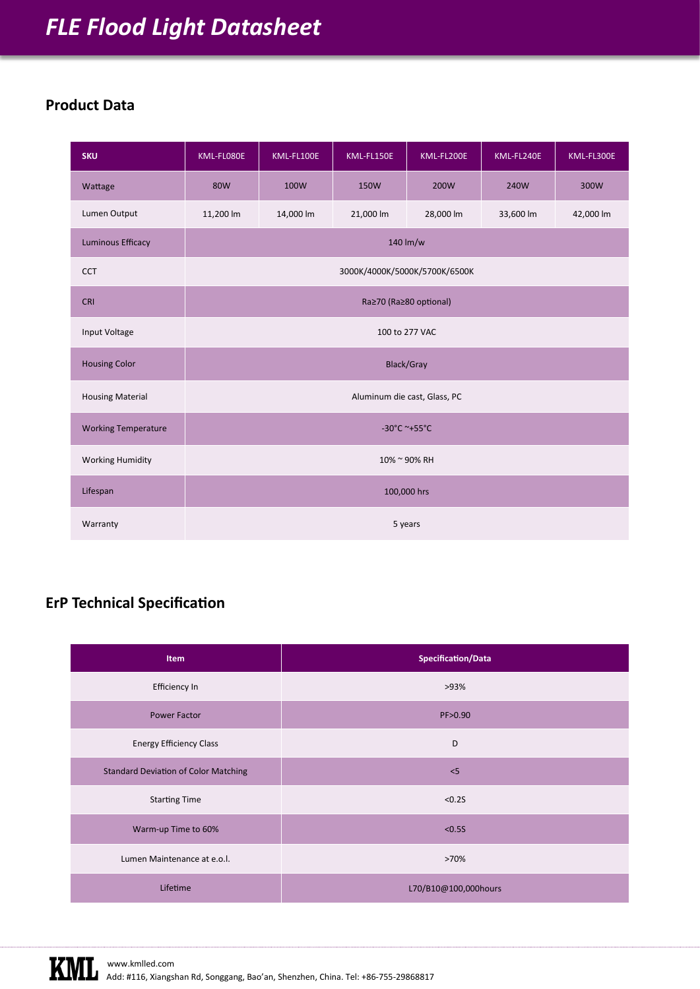# *FLE Flood Light Datasheet*

### **Product Data**

| <b>SKU</b>                 | KML-FL080E                    | KML-FL100E | KML-FL150E  | KML-FL200E | KML-FL240E | KML-FL300E |  |  |  |
|----------------------------|-------------------------------|------------|-------------|------------|------------|------------|--|--|--|
| Wattage                    | <b>80W</b>                    | 100W       | <b>150W</b> | 200W       | 240W       | 300W       |  |  |  |
| Lumen Output               | 11,200 lm                     | 14,000 lm  | 21,000 lm   | 28,000 lm  | 33,600 lm  | 42,000 lm  |  |  |  |
| <b>Luminous Efficacy</b>   | 140 lm/w                      |            |             |            |            |            |  |  |  |
| <b>CCT</b>                 | 3000K/4000K/5000K/5700K/6500K |            |             |            |            |            |  |  |  |
| <b>CRI</b>                 | Ra≥70 (Ra≥80 optional)        |            |             |            |            |            |  |  |  |
| Input Voltage              | 100 to 277 VAC                |            |             |            |            |            |  |  |  |
| <b>Housing Color</b>       | <b>Black/Gray</b>             |            |             |            |            |            |  |  |  |
| <b>Housing Material</b>    | Aluminum die cast, Glass, PC  |            |             |            |            |            |  |  |  |
| <b>Working Temperature</b> | -30°C ~+55°C                  |            |             |            |            |            |  |  |  |
| <b>Working Humidity</b>    | 10% ~ 90% RH                  |            |             |            |            |            |  |  |  |
| Lifespan                   | 100,000 hrs                   |            |             |            |            |            |  |  |  |
| Warranty                   | 5 years                       |            |             |            |            |            |  |  |  |

## **ErP Technical Specification**

| Item                                        | <b>Specification/Data</b> |  |  |
|---------------------------------------------|---------------------------|--|--|
| Efficiency In                               | >93%                      |  |  |
| Power Factor                                | PF>0.90                   |  |  |
| <b>Energy Efficiency Class</b>              | D                         |  |  |
| <b>Standard Deviation of Color Matching</b> | < 5                       |  |  |
| <b>Starting Time</b>                        | < 0.25                    |  |  |
| Warm-up Time to 60%                         | < 0.55                    |  |  |
| Lumen Maintenance at e.o.l.                 | >70%                      |  |  |
| Lifetime                                    | L70/B10@100,000hours      |  |  |

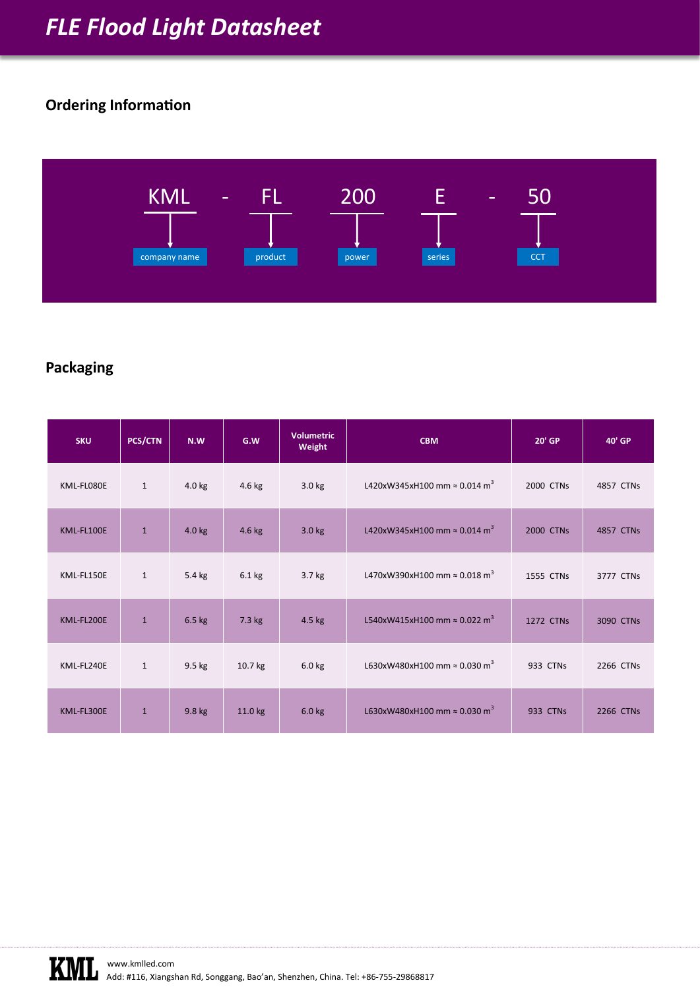## **Ordering Information**



### **Packaging**

| <b>SKU</b> | <b>PCS/CTN</b> | N.W      | G.W      | <b>Volumetric</b><br>Weight | <b>CBM</b>                                       | 20' GP           | 40' GP    |
|------------|----------------|----------|----------|-----------------------------|--------------------------------------------------|------------------|-----------|
| KML-FL080E | $\mathbf{1}$   | $4.0$ kg | 4.6 kg   | 3.0 <sub>kg</sub>           | L420xW345xH100 mm $\approx$ 0.014 m <sup>3</sup> | 2000 CTNs        | 4857 CTNs |
| KML-FL100E | $\mathbf{1}$   | $4.0$ kg | 4.6 kg   | 3.0 <sub>kg</sub>           | L420xW345xH100 mm $\approx$ 0.014 m <sup>3</sup> | 2000 CTNs        | 4857 CTNs |
| KML-FL150E | $\mathbf{1}$   | 5.4 kg   | $6.1$ kg | $3.7$ kg                    | L470xW390xH100 mm $\approx$ 0.018 m <sup>3</sup> | 1555 CTNs        | 3777 CTNs |
| KML-FL200E | $\mathbf{1}$   | $6.5$ kg | 7.3 kg   | $4.5$ kg                    | L540xW415xH100 mm $\approx$ 0.022 m <sup>3</sup> | <b>1272 CTNs</b> | 3090 CTNs |
| KML-FL240E | $\mathbf{1}$   | $9.5$ kg | 10.7 kg  | $6.0$ kg                    | L630xW480xH100 mm $\approx$ 0.030 m <sup>3</sup> | 933 CTNs         | 2266 CTNs |
| KML-FL300E | $\mathbf{1}$   | 9.8 kg   | 11.0 kg  | $6.0$ kg                    | L630xW480xH100 mm $\approx$ 0.030 m <sup>3</sup> | 933 CTNs         | 2266 CTNs |